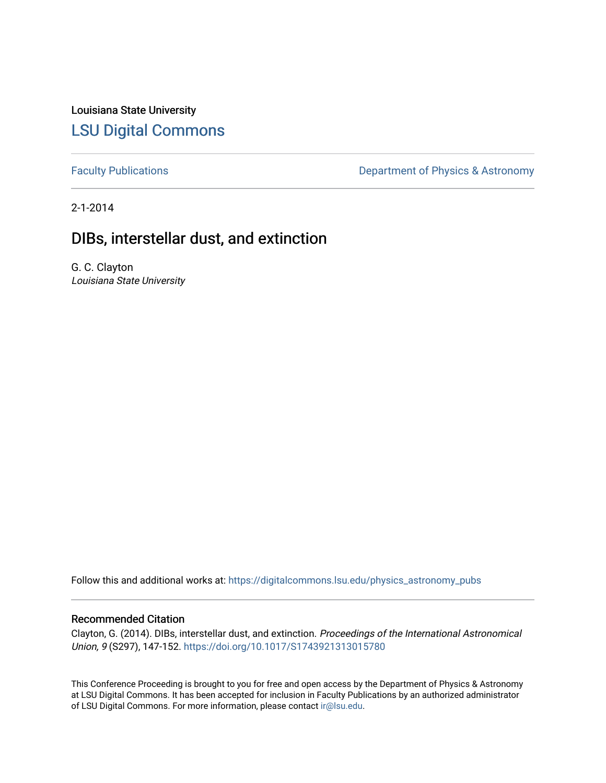Louisiana State University [LSU Digital Commons](https://digitalcommons.lsu.edu/)

[Faculty Publications](https://digitalcommons.lsu.edu/physics_astronomy_pubs) **Exercise 2 and Table 2 and Table 2 and Table 2 and Table 2 and Table 2 and Table 2 and Table 2 and Table 2 and Table 2 and Table 2 and Table 2 and Table 2 and Table 2 and Table 2 and Table 2 and Table** 

2-1-2014

## DIBs, interstellar dust, and extinction

G. C. Clayton Louisiana State University

Follow this and additional works at: [https://digitalcommons.lsu.edu/physics\\_astronomy\\_pubs](https://digitalcommons.lsu.edu/physics_astronomy_pubs?utm_source=digitalcommons.lsu.edu%2Fphysics_astronomy_pubs%2F835&utm_medium=PDF&utm_campaign=PDFCoverPages) 

## Recommended Citation

Clayton, G. (2014). DIBs, interstellar dust, and extinction. Proceedings of the International Astronomical Union, 9 (S297), 147-152. <https://doi.org/10.1017/S1743921313015780>

This Conference Proceeding is brought to you for free and open access by the Department of Physics & Astronomy at LSU Digital Commons. It has been accepted for inclusion in Faculty Publications by an authorized administrator of LSU Digital Commons. For more information, please contact [ir@lsu.edu](mailto:ir@lsu.edu).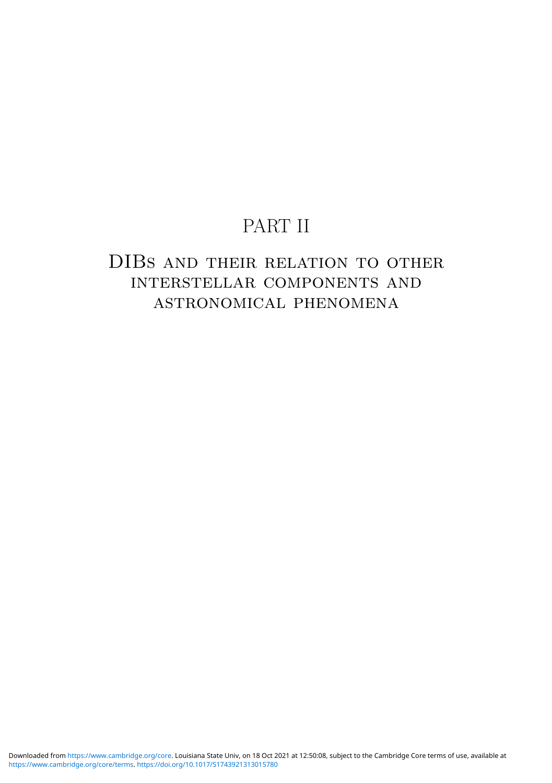# PART II

# DIBs and their relation to other interstellar components and astronomical phenomena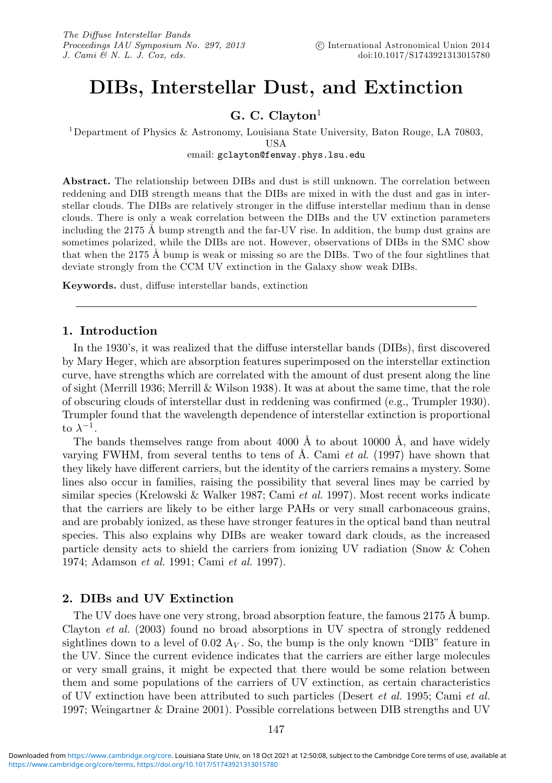## **DIBs, Interstellar Dust, and Extinction**

## **G. C. Clayton**<sup>1</sup>

1Department of Physics & Astronomy, Louisiana State University, Baton Rouge, LA 70803, USA

email: gclayton@fenway.phys.lsu.edu

**Abstract.** The relationship between DIBs and dust is still unknown. The correlation between reddening and DIB strength means that the DIBs are mixed in with the dust and gas in interstellar clouds. The DIBs are relatively stronger in the diffuse interstellar medium than in dense clouds. There is only a weak correlation between the DIBs and the UV extinction parameters including the  $2175 \text{ Å}$  bump strength and the far-UV rise. In addition, the bump dust grains are sometimes polarized, while the DIBs are not. However, observations of DIBs in the SMC show that when the 2175 Å bump is weak or missing so are the DIBs. Two of the four sightlines that deviate strongly from the CCM UV extinction in the Galaxy show weak DIBs.

**Keywords.** dust, diffuse interstellar bands, extinction

#### **1. Introduction**

In the 1930's, it was realized that the diffuse interstellar bands (DIBs), first discovered by Mary Heger, which are absorption features superimposed on the interstellar extinction curve, have strengths which are correlated with the amount of dust present along the line of sight (Merrill 1936; Merrill & Wilson 1938). It was at about the same time, that the role of obscuring clouds of interstellar dust in reddening was confirmed (e.g., Trumpler 1930). Trumpler found that the wavelength dependence of interstellar extinction is proportional to  $\lambda^{-1}$ .

The bands themselves range from about 4000  $\AA$  to about 10000  $\AA$ , and have widely varying FWHM, from several tenths to tens of  $\AA$ . Cami *et al.* (1997) have shown that they likely have different carriers, but the identity of the carriers remains a mystery. Some lines also occur in families, raising the possibility that several lines may be carried by similar species (Krelowski & Walker 1987; Cami *et al.* 1997). Most recent works indicate that the carriers are likely to be either large PAHs or very small carbonaceous grains, and are probably ionized, as these have stronger features in the optical band than neutral species. This also explains why DIBs are weaker toward dark clouds, as the increased particle density acts to shield the carriers from ionizing UV radiation (Snow & Cohen 1974; Adamson et al. 1991; Cami et al. 1997).

### **2. DIBs and UV Extinction**

The UV does have one very strong, broad absorption feature, the famous 2175 Å bump. Clayton et al. (2003) found no broad absorptions in UV spectra of strongly reddened sightlines down to a level of  $0.02 \text{ A}_V$ . So, the bump is the only known "DIB" feature in the UV. Since the current evidence indicates that the carriers are either large molecules or very small grains, it might be expected that there would be some relation between them and some populations of the carriers of UV extinction, as certain characteristics of UV extinction have been attributed to such particles (Desert *et al.* 1995; Cami *et al.* 1997; Weingartner & Draine 2001). Possible correlations between DIB strengths and UV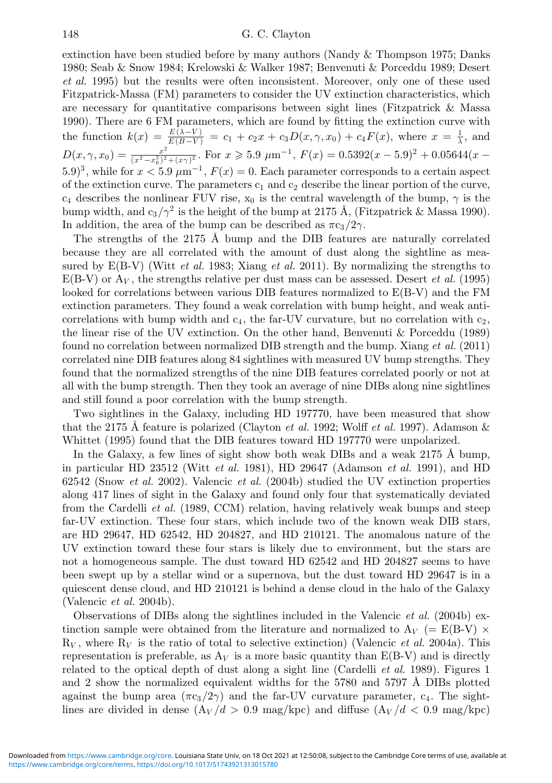extinction have been studied before by many authors (Nandy & Thompson 1975; Danks 1980; Seab & Snow 1984; Krelowski & Walker 1987; Benvenuti & Porceddu 1989; Desert et al. 1995) but the results were often inconsistent. Moreover, only one of these used Fitzpatrick-Massa (FM) parameters to consider the UV extinction characteristics, which are necessary for quantitative comparisons between sight lines (Fitzpatrick & Massa 1990). There are 6 FM parameters, which are found by fitting the extinction curve with the function  $k(x) = \frac{E(\lambda - V)}{E(B - V)} = c_1 + c_2 x + c_3 D(x, \gamma, x_0) + c_4 F(x)$ , where  $x = \frac{1}{\lambda}$ , and  $D(x, \gamma, x_0) = \frac{x^2}{(x^2 - x_0^2)^2 + (x\gamma)^2}$ . For  $x \ge 5.9 \ \mu\text{m}^{-1}$ ,  $F(x) = 0.5392(x - 5.9)^2 + 0.05644(x -$ 5.9)<sup>3</sup>, while for  $x < 5.9 \ \mu m^{-1}$ ,  $F(x) = 0$ . Each parameter corresponds to a certain aspect of the extinction curve. The parameters  $c_1$  and  $c_2$  describe the linear portion of the curve,  $c_4$  describes the nonlinear FUV rise,  $x_0$  is the central wavelength of the bump,  $\gamma$  is the bump width, and  $c_3 / \gamma^2$  is the height of the bump at 2175 Å, (Fitzpatrick & Massa 1990). In addition, the area of the bump can be described as  $\pi c_3/2\gamma$ .

The strengths of the 2175  $\AA$  bump and the DIB features are naturally correlated because they are all correlated with the amount of dust along the sightline as measured by  $E(B-V)$  (Witt *et al.* 1983; Xiang *et al.* 2011). By normalizing the strengths to  $E(B-V)$  or  $A_V$ , the strengths relative per dust mass can be assessed. Desert *et al.* (1995) looked for correlations between various DIB features normalized to  $E(B-V)$  and the FM extinction parameters. They found a weak correlation with bump height, and weak anticorrelations with bump width and  $c_4$ , the far-UV curvature, but no correlation with  $c_2$ , the linear rise of the UV extinction. On the other hand, Benvenuti & Porceddu (1989) found no correlation between normalized DIB strength and the bump. Xiang *et al.* (2011) correlated nine DIB features along 84 sightlines with measured UV bump strengths. They found that the normalized strengths of the nine DIB features correlated poorly or not at all with the bump strength. Then they took an average of nine DIBs along nine sightlines and still found a poor correlation with the bump strength.

Two sightlines in the Galaxy, including HD 197770, have been measured that show that the 2175 A feature is polarized (Clayton *et al.* 1992; Wolff *et al.* 1997). Adamson  $\&$ Whittet (1995) found that the DIB features toward HD 197770 were unpolarized.

In the Galaxy, a few lines of sight show both weak DIBs and a weak  $2175 \text{ Å}$  bump, in particular HD 23512 (Witt *et al.* 1981), HD 29647 (Adamson *et al.* 1991), and HD 62542 (Snow *et al.* 2002). Valencic *et al.* (2004b) studied the UV extinction properties along 417 lines of sight in the Galaxy and found only four that systematically deviated from the Cardelli et al. (1989, CCM) relation, having relatively weak bumps and steep far-UV extinction. These four stars, which include two of the known weak DIB stars, are HD 29647, HD 62542, HD 204827, and HD 210121. The anomalous nature of the UV extinction toward these four stars is likely due to environment, but the stars are not a homogeneous sample. The dust toward HD 62542 and HD 204827 seems to have been swept up by a stellar wind or a supernova, but the dust toward HD 29647 is in a quiescent dense cloud, and HD 210121 is behind a dense cloud in the halo of the Galaxy (Valencic et al. 2004b).

Observations of DIBs along the sightlines included in the Valencic et al. (2004b) extinction sample were obtained from the literature and normalized to  $A_V$  (= E(B-V)  $\times$  $R_V$ , where  $R_V$  is the ratio of total to selective extinction) (Valencic *et al.* 2004a). This representation is preferable, as  $A_V$  is a more basic quantity than  $E(B-V)$  and is directly related to the optical depth of dust along a sight line (Cardelli *et al.* 1989). Figures 1 and 2 show the normalized equivalent widths for the 5780 and 5797 A DIBs plotted against the bump area  $(\pi c_3 / 2\gamma)$  and the far-UV curvature parameter,  $c_4$ . The sightlines are divided in dense  $(A_V/d > 0.9 \text{ mag/kpc})$  and diffuse  $(A_V/d < 0.9 \text{ mag/kpc})$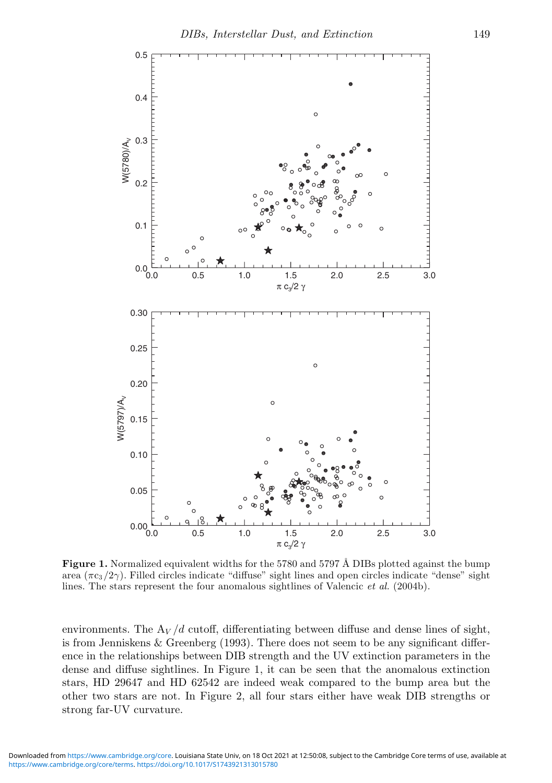

**Figure 1.** Normalized equivalent widths for the 5780 and 5797 Å DIBs plotted against the bump area  $(\pi c_3 / 2\gamma)$ . Filled circles indicate "diffuse" sight lines and open circles indicate "dense" sight lines. The stars represent the four anomalous sightlines of Valencic et al. (2004b).

environments. The  $A_V/d$  cutoff, differentiating between diffuse and dense lines of sight, is from Jenniskens & Greenberg (1993). There does not seem to be any significant difference in the relationships between DIB strength and the UV extinction parameters in the dense and diffuse sightlines. In Figure 1, it can be seen that the anomalous extinction stars, HD 29647 and HD 62542 are indeed weak compared to the bump area but the other two stars are not. In Figure 2, all four stars either have weak DIB strengths or strong far-UV curvature.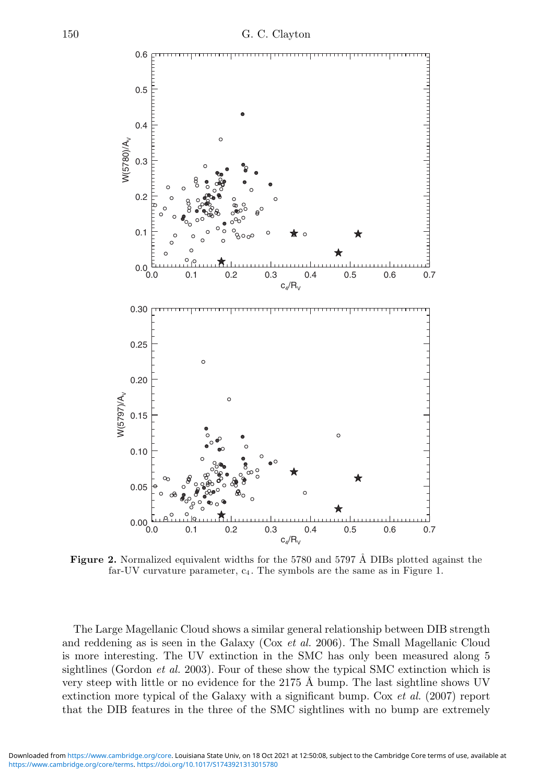

**Figure 2.** Normalized equivalent widths for the 5780 and 5797 Å DIBs plotted against the far-UV curvature parameter,  $c_4$ . The symbols are the same as in Figure 1.

The Large Magellanic Cloud shows a similar general relationship between DIB strength and reddening as is seen in the Galaxy (Cox et al. 2006). The Small Magellanic Cloud is more interesting. The UV extinction in the SMC has only been measured along 5 sightlines (Gordon *et al.* 2003). Four of these show the typical SMC extinction which is very steep with little or no evidence for the 2175  $\AA$  bump. The last sightline shows UV extinction more typical of the Galaxy with a significant bump. Cox *et al.* (2007) report that the DIB features in the three of the SMC sightlines with no bump are extremely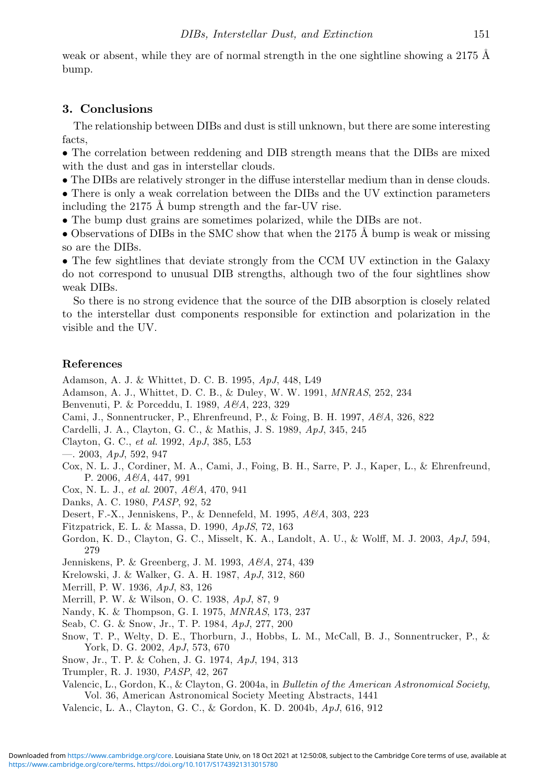weak or absent, while they are of normal strength in the one sightline showing a 2175  $\AA$ bump.

### **3. Conclusions**

The relationship between DIBs and dust is still unknown, but there are some interesting facts,

• The correlation between reddening and DIB strength means that the DIBs are mixed with the dust and gas in interstellar clouds.

- The DIBs are relatively stronger in the diffuse interstellar medium than in dense clouds.
- There is only a weak correlation between the DIBs and the UV extinction parameters including the 2175 Å bump strength and the far-UV rise.
- The bump dust grains are sometimes polarized, while the DIBs are not.
- Observations of DIBs in the SMC show that when the 2175  $\AA$  bump is weak or missing so are the DIBs.

• The few sightlines that deviate strongly from the CCM UV extinction in the Galaxy do not correspond to unusual DIB strengths, although two of the four sightlines show weak DIBs.

So there is no strong evidence that the source of the DIB absorption is closely related to the interstellar dust components responsible for extinction and polarization in the visible and the UV.

#### **References**

Adamson, A. J. & Whittet, D. C. B. 1995, ApJ, 448, L49

- Adamson, A. J., Whittet, D. C. B., & Duley, W. W. 1991, MNRAS, 252, 234
- Benvenuti, P. & Porceddu, I. 1989, A&A, 223, 329
- Cami, J., Sonnentrucker, P., Ehrenfreund, P., & Foing, B. H. 1997, A&A, 326, 822
- Cardelli, J. A., Clayton, G. C., & Mathis, J. S. 1989, ApJ, 345, 245
- Clayton, G. C., et al. 1992, ApJ, 385, L53
- $-$ . 2003, ApJ, 592, 947
- Cox, N. L. J., Cordiner, M. A., Cami, J., Foing, B. H., Sarre, P. J., Kaper, L., & Ehrenfreund, P. 2006, A&A, 447, 991
- Cox, N. L. J., et al. 2007, A&A, 470, 941
- Danks, A. C. 1980, PASP, 92, 52
- Desert, F.-X., Jenniskens, P., & Dennefeld, M. 1995, A&A, 303, 223
- Fitzpatrick, E. L. & Massa, D. 1990, ApJS, 72, 163
- Gordon, K. D., Clayton, G. C., Misselt, K. A., Landolt, A. U., & Wolff, M. J. 2003, ApJ, 594, 279
- Jenniskens, P. & Greenberg, J. M. 1993, A&A, 274, 439
- Krelowski, J. & Walker, G. A. H. 1987, ApJ, 312, 860
- Merrill, P. W. 1936, ApJ, 83, 126
- Merrill, P. W. & Wilson, O. C. 1938, ApJ, 87, 9
- Nandy, K. & Thompson, G. I. 1975, MNRAS, 173, 237
- Seab, C. G. & Snow, Jr., T. P. 1984, ApJ, 277, 200
- Snow, T. P., Welty, D. E., Thorburn, J., Hobbs, L. M., McCall, B. J., Sonnentrucker, P., & York, D. G. 2002, ApJ, 573, 670
- Snow, Jr., T. P. & Cohen, J. G. 1974, ApJ, 194, 313
- Trumpler, R. J. 1930, PASP, 42, 267
- Valencic, L., Gordon, K., & Clayton, G. 2004a, in *Bulletin of the American Astronomical Society*, Vol. 36, American Astronomical Society Meeting Abstracts, 1441
- Valencic, L. A., Clayton, G. C., & Gordon, K. D. 2004b, ApJ, 616, 912